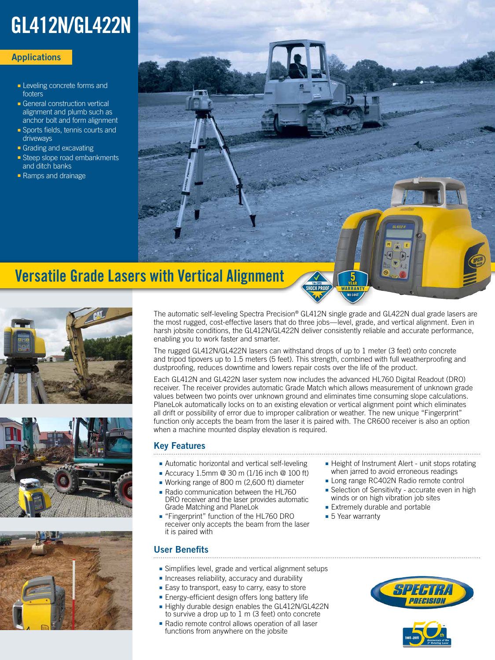# GL412N/GL422N

### **Applications**

- Leveling concrete forms and footers
- General construction vertical alignment and plumb such as anchor bolt and form alignment
- Sports fields, tennis courts and driveways
- Grading and excavating
- Steep slope road embankments and ditch banks
- Ramps and drainage



# Versatile Grade Lasers with Vertical Alignment







The automatic self-leveling Spectra Precision® GL412N single grade and GL422N dual grade lasers are the most rugged, cost-effective lasers that do three jobs—level, grade, and vertical alignment. Even in harsh jobsite conditions, the GL412N/GL422N deliver consistently reliable and accurate performance, enabling you to work faster and smarter.

**NO COST** 

The rugged GL412N/GL422N lasers can withstand drops of up to 1 meter (3 feet) onto concrete and tripod tipovers up to 1.5 meters (5 feet). This strength, combined with full weatherproofing and dustproofing, reduces downtime and lowers repair costs over the life of the product.

Each GL412N and GL422N laser system now includes the advanced HL760 Digital Readout (DRO) receiver. The receiver provides automatic Grade Match which allows measurement of unknown grade values between two points over unknown ground and eliminates time consuming slope calculations. PlaneLok automatically locks on to an existing elevation or vertical alignment point which eliminates all drift or possibility of error due to improper calibration or weather. The new unique "Fingerprint" function only accepts the beam from the laser it is paired with. The CR600 receiver is also an option when a machine mounted display elevation is required.

## Key Features

- Automatic horizontal and vertical self-leveling
- Accuracy 1.5mm @ 30 m (1/16 inch @ 100 ft)
- Working range of 800 m (2,600 ft) diameter
- Radio communication between the HL760
- DRO receiver and the laser provides automatic Grade Matching and PlaneLok
- "Fingerprint" function of the HL760 DRO receiver only accepts the beam from the laser it is paired with

## User Benefits

- Simplifies level, grade and vertical alignment setups
- Increases reliability, accuracy and durability
- Easy to transport, easy to carry, easy to store
- Energy-efficient design offers long battery life
- Highly durable design enables the GL412N/GL422N to survive a drop up to 1 m (3 feet) onto concrete
- Radio remote control allows operation of all laser functions from anywhere on the jobsite
- Height of Instrument Alert unit stops rotating when jarred to avoid erroneous readings
- Long range RC402N Radio remote control
- Selection of Sensitivity accurate even in high winds or on high vibration job sites
- Extremely durable and portable
- 5 Year warranty